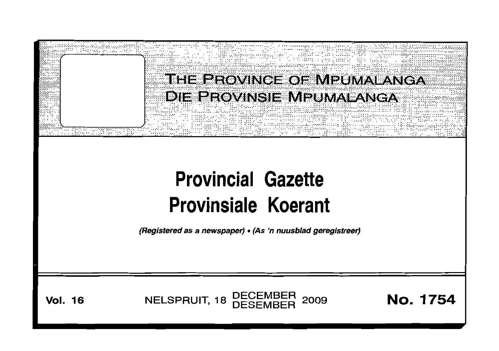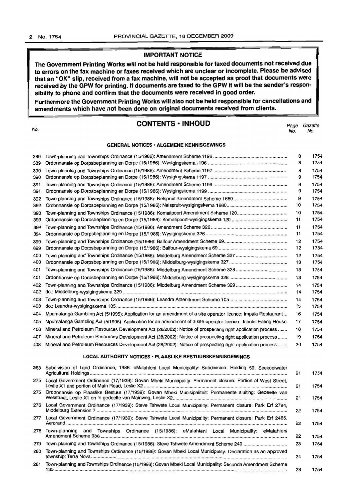## **IMPORTANT NOTICE**

**The Government Printing Works will not be held responsible for faxed documents not received due to errors on the fax machine or faxes received which are unclear or incomplete. Please be advised that an "OK" slip, received from a fax machine, will not be accepted as proof that documents were received by the GPW for printing. If documents are faxed to the GPW it will be the sender's responsibility to phone and confirm that the documents were received in good order.**

**Furthermore the Government Printing Works will also not be held responsible for cancellations and amendments which have not been done on original documents received from clients.**

No.

## **CONTENTS -INHOUD**

*Page Gazette* No. No.

#### **GENERAL NOTICES· ALGEMENE KENNISGEWINGS**

| 389 |                                                                                                                 | 8  | 1754 |  |
|-----|-----------------------------------------------------------------------------------------------------------------|----|------|--|
| 389 |                                                                                                                 | 8  | 1754 |  |
| 390 |                                                                                                                 | 8  | 1754 |  |
| 390 |                                                                                                                 | 9  | 1754 |  |
| 391 |                                                                                                                 | 9  | 1754 |  |
| 391 |                                                                                                                 | 9  | 1754 |  |
| 392 |                                                                                                                 | 9  | 1754 |  |
| 392 |                                                                                                                 | 10 | 1754 |  |
| 393 | Town-planning and Townships Ordinance (15/1986): Komatipoort Amendment Scheme 120                               | 10 | 1754 |  |
| 393 |                                                                                                                 | 11 | 1754 |  |
| 394 |                                                                                                                 | 11 | 1754 |  |
| 394 |                                                                                                                 | 11 | 1754 |  |
| 399 |                                                                                                                 | 12 | 1754 |  |
| 399 |                                                                                                                 | 12 | 1754 |  |
| 400 |                                                                                                                 | 12 | 1754 |  |
| 400 |                                                                                                                 | 13 | 1754 |  |
| 401 |                                                                                                                 | 13 | 1754 |  |
| 401 |                                                                                                                 | 13 | 1754 |  |
| 402 |                                                                                                                 | 14 | 1754 |  |
| 402 |                                                                                                                 | 14 | 1754 |  |
| 403 |                                                                                                                 | 14 | 1754 |  |
| 403 |                                                                                                                 | 15 | 1754 |  |
| 404 | Mpumalanga Gambling Act (5/1995): Application for an amendment of a site operator licence: Impala Restaurant    | 16 | 1754 |  |
| 405 | Mpumalanga Gambling Act (5/1995): Application for an amendment of a site operator licence: Jabulni Eating House | 17 | 1754 |  |
| 406 | Mineral and Petroleum Resources Development Act (28/2002): Notice of prospecting right application process      | 18 | 1754 |  |
| 407 | Mineral and Petroleum Resources Development Act (28/2002): Notice of prospecting right application process      |    |      |  |
| 408 | Mineral and Petroleum Resources Development Act (28/2002): Notice of prospecting right application process      | 20 | 1754 |  |
|     | LOCAL AUTHORITY NOTICES · PLAASLIKE BESTUURSKENNISGEWINGS                                                       |    |      |  |
| 263 | Subdivision of Land Ordinance, 1986: eMalahleni Local Municipality: Subdivision: Holding 59, Seekoeiwater       | 21 | 1754 |  |
| 275 | Local Government Ordinance (17/1939): Govan Mbeki Municipality: Permanent closure: Portion of West Street,      | 21 | 1754 |  |
| 275 | Ordonnansie op Plaaslike Bestuur (17/1939): Govan Mbeki Munisipaliteit: Permanente sluiting: Gedeelte van       | 21 | 1754 |  |
| 276 | Local Government Ordinance (17/1939): Steve Tshwete Local Municipality: Permanent closure: Park Erf 2794,       | 22 | 1754 |  |
| 277 | Local Government Ordinance (17/1939): Steve Tshwete Local Municipality: Permanent closure: Park Erf 2465,       | 22 | 1754 |  |
| 278 | Town-planning and Townships Ordinance (15/1986): eMalahleni Local Municipality: eMalahleni                      |    |      |  |
| 279 |                                                                                                                 | 22 | 1754 |  |
|     | Town-planning and Townships Ordinance (15/1986): Steve Tshwete Amendment Scheme 240                             | 23 | 1754 |  |
| 280 | Town-planning and Townships Ordinance (15/1986): Govan Mbeki Local Municipality: Declaration as an approved     | 24 | 1754 |  |
| 281 | Town-planning and Townships Ordinance (15/1986): Govan Mbeki Local Municipality: Secunda Amendment Scheme       | 28 | 1754 |  |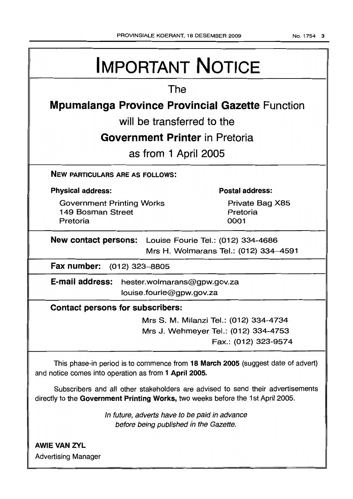| <b>IMPORTANT NOTICE</b>                                                                                                                  |  |  |  |  |  |  |
|------------------------------------------------------------------------------------------------------------------------------------------|--|--|--|--|--|--|
| The                                                                                                                                      |  |  |  |  |  |  |
| <b>Mpumalanga Province Provincial Gazette Function</b>                                                                                   |  |  |  |  |  |  |
| will be transferred to the                                                                                                               |  |  |  |  |  |  |
| <b>Government Printer</b> in Pretoria                                                                                                    |  |  |  |  |  |  |
| as from 1 April 2005                                                                                                                     |  |  |  |  |  |  |
| <b>NEW PARTICULARS ARE AS FOLLOWS:</b>                                                                                                   |  |  |  |  |  |  |
| <b>Postal address:</b><br><b>Physical address:</b>                                                                                       |  |  |  |  |  |  |
| <b>Government Printing Works</b><br>Private Bag X85<br>149 Bosman Street<br>Pretoria<br>Pretoria<br>0001                                 |  |  |  |  |  |  |
| <b>New contact persons:</b> Louise Fourie Tel.: (012) 334-4686<br>Mrs H. Wolmarans Tel.: (012) 334-4591                                  |  |  |  |  |  |  |
| Fax number:<br>(012) 323–8805                                                                                                            |  |  |  |  |  |  |
| E-mail address:<br>hester.wolmarans@gpw.gov.za<br>louise.fourie@gpw.gov.za                                                               |  |  |  |  |  |  |
| <b>Contact persons for subscribers:</b>                                                                                                  |  |  |  |  |  |  |
| Mrs S. M. Milanzi Tel.: (012) 334-4734<br>Mrs J. Wehmeyer Tel.: (012) 334-4753<br>Fax.: (012) 323-9574                                   |  |  |  |  |  |  |
| This phase-in period is to commence from 18 March 2005 (suggest date of advert)<br>and notice comes into operation as from 1 April 2005. |  |  |  |  |  |  |
| Subscribers and all other stakeholders are advised to send their advertisements                                                          |  |  |  |  |  |  |

In future, adverts have to be paid in advance before being published in the Gazette.

directly to the Government Printing Works, two weeks before the 1st April 2005.

AWIE VAN ZVL Advertising Manager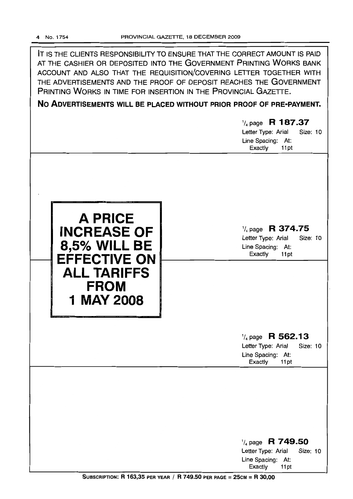| IT IS THE CLIENTS RESPONSIBILITY TO ENSURE THAT THE CORRECT AMOUNT IS PAID<br>AT THE CASHIER OR DEPOSITED INTO THE GOVERNMENT PRINTING WORKS BANK<br>ACCOUNT AND ALSO THAT THE REQUISITION/COVERING LETTER TOGETHER WITH<br>THE ADVERTISEMENTS AND THE PROOF OF DEPOSIT REACHES THE GOVERNMENT<br>PRINTING WORKS IN TIME FOR INSERTION IN THE PROVINCIAL GAZETTE.<br>NO ADVERTISEMENTS WILL BE PLACED WITHOUT PRIOR PROOF OF PRE-PAYMENT.<br>$\frac{1}{4}$ page R 187.37<br>Letter Type: Arial<br>Size: 10<br>Line Spacing: At:<br>Exactly<br>11pt |                                                                                                                                                                                                    |  |  |  |  |
|----------------------------------------------------------------------------------------------------------------------------------------------------------------------------------------------------------------------------------------------------------------------------------------------------------------------------------------------------------------------------------------------------------------------------------------------------------------------------------------------------------------------------------------------------|----------------------------------------------------------------------------------------------------------------------------------------------------------------------------------------------------|--|--|--|--|
| <b>A PRICE</b><br><b>INCREASE OF</b><br><b>8,5% WILL BE</b><br><b>EFFECTIVE ON</b><br><b>ALL TARIFFS</b><br><b>FROM</b><br><b>1 MAY 2008</b>                                                                                                                                                                                                                                                                                                                                                                                                       | $\frac{1}{4}$ page R 374.75<br>Letter Type: Arial<br><b>Size: 10</b><br>Line Spacing: At:<br>Exactly<br>11pt<br>$\frac{1}{4}$ page R 562.13<br>Letter Type: Arial<br>Size: 10<br>Line Spacing: At: |  |  |  |  |
|                                                                                                                                                                                                                                                                                                                                                                                                                                                                                                                                                    | Exactly<br>11pt<br>$\frac{1}{4}$ page R 749.50<br><b>Size: 10</b><br>Letter Type: Arial<br>Line Spacing: At:<br>Exactly<br>11pt                                                                    |  |  |  |  |

SUBSCRIPTION: R 163,35 PER YEAR / R 749.50 PER PAGE = 25cM = R 30,00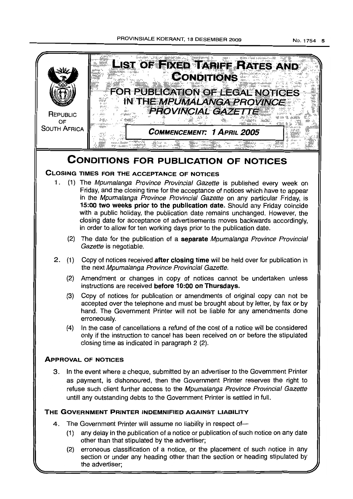No.1754 5



(2) erroneous classification of a notice, or the placement of such notice in any section or under any heading other than the section or heading stipulated by the advertiser;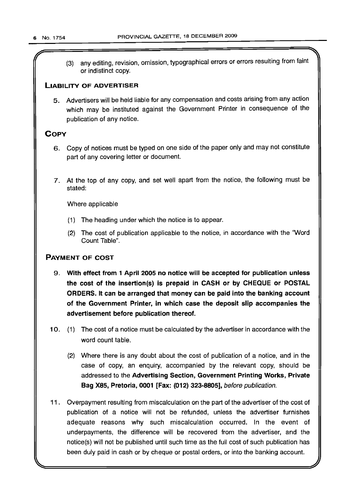(3) any editing, revision, omission, typographical errors or errors resulting from faint or indistinct copy.

## LIABILITY OF ADVERTISER

5. Advertisers will be held liable for any compensation and costs arising from any action which may be instituted against the Government Printer in consequence of the publication of any notice.

## **COPY**

- 6. Copy of notices must be typed on one side of the paper only and may not constitute part of any covering letter or document.
- 7. At the top of any copy, and set well apart from the notice, the following must be stated:

Where applicable

- (1) The heading under which the notice is to appear.
- (2) The cost of publication applicable to the notice, in accordance with the "Word Count Table".

## PAYMENT OF COST

- 9. With effect from 1 April 2005 no notice will be accepted for publication unless the cost of the insertion(s) is prepaid in CASH or by CHEQUE or POSTAL ORDERS. It can be arranged that money can be paid into the banking account of the Government Printer, in which case the deposit slip accompanies the advertisement before publication thereof.
- 10. (1) The cost of a notice must be calculated by the advertiser in accordance with the word count table.
	- (2) Where there is any doubt about the cost of publication of a notice, and in the case of copy, an enquiry, accompanied by the relevant copy, should be addressed to the Advertising Section, Government Printing Works, Private Bag X85, Pretoria, 0001 [Fax: (012) 323-8805], before publication.
- 11 . Overpayment resulting from miscalculation on the part of the advertiser of the cost of publication of a notice will not be refunded, unless the advertiser furnishes adequate reasons why such miscalculation occurred. In the event of underpayments, the difference will be recovered from the advertiser, and the notice(s) will not be published until such time as the full cost of such publication has been duly paid in cash or by cheque or postal orders, or into the banking account.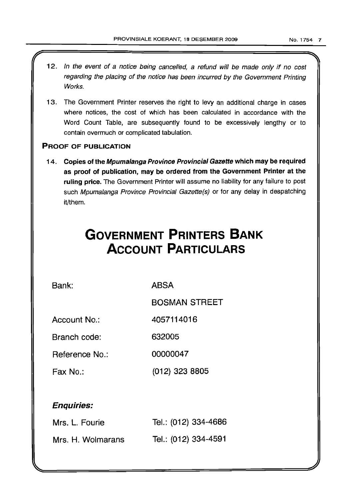- 12. In the event of a notice being cancelled, a refund will be made only if no cost regarding the placing of the notice has been incurred by the Government Printing Works.
- 13. The Government Printer reserves the right to levy an additional charge in cases where notices, the cost of which has been calculated in accordance with the Word Count Table, are subsequently found to be excessively lengthy or to contain overmuch or complicated tabulation.

## PROOF OF PUBLICATION

14. Copies of the Mpumalanga Province Provincial Gazette which may be required as proof of publication, may be ordered from the Government Printer at the ruling price. The Government Printer will assume no liability for any failure to post such Mpumalanga Province Provincial Gazette(s) or for any delay in despatching it/them.

# **GOVERNMENT PRINTERS BANK ACCOUNT PARTICULARS**

Bank: ABSA

BOSMAN STREET

Account No.: 4057114016

Branch code: 632005

Reference No.: 00000047

Fax No.: (012) 323 8805

# Enquiries:

| Mrs. L. Fourie    | Tel.: (012) 334-4686 |
|-------------------|----------------------|
| Mrs. H. Wolmarans | Tel.: (012) 334-4591 |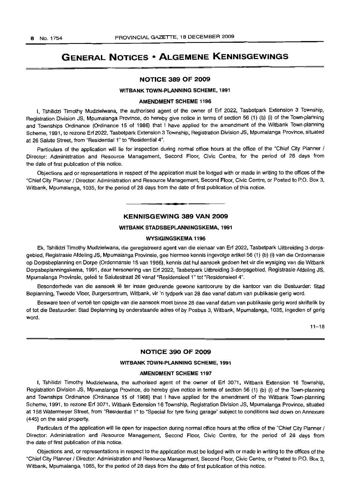# **GENERAL NOTICES • ALGEMENE KENNISGEWINGS**

### **NOTICE 389 OF 2009**

## **WITBANK TOWN-PLANNING SCHEME, 1991**

#### **AMENDMENT SCHEME 1196**

I, Tshilidzi Timothy Mudzielwana, the authorised agent of the owner of Erf 2022, Tasbetpark Extension 3 Township, Registration Division JS, Mpumalanga Province, do hereby give notice in terms of section 56 (1) (b) (i) of the Town-planning and Townships Ordinance (Ordinance 15 of 1986) that I have applied for the amendment of the Witbank Town-planning Scheme, 1991, to rezone Erf 2022, Tasbetpark Extension 3 Township, Registration Division JS, Mpumalanga Province, situated at 26 Salute Street, from "Residential 1" to "Residential 4".

Particulars of the application will lie for inspection during normal office hours at the office of the "Chief City Planner / Director: Administration and Resource Management, Second Floor, Civic Centre, for the period of 28 days from the date of first publication of this notice.

Objections and or representations in respect of the application must be lodqed with or made in writing to the offices of the "Chief City Planner / Director: Administration and Resource Management, Second Floor, Civic Centre, or Posted to P.O. Box 3, Witbank, Mpumalanga, 1035, for the period of 28 days from the date of first publication of this notice.

## **KENNISGEWING 389 VAN 2009**

**I.**

#### **WITBANK STADSBEPLANNINGSKEMA, 1991**

#### **WVSIGINGSKEMA 1196**

Ek, Tshilidzi Timothy Mudzielwana, die geregistreerd agent van die eienaar van Erf 2022, Tasbetpark Uitbreiding 3-dorpsgebied, Registrasie Afdeling JS, Mpumalanga Provinsie, gee hiermee kennis ingevolge artikel 56 (1) (b) (i) van die Ordonnansie op Dorpsbeplanning en Dorpe (Ordonnansie 15 van 1986), kennis dat hul aansoek gedoen het vir die wysiging van die Witbank Dorpsbeplanningskema, 1991, deur hersonering van Erf 2022, Tasbetpark Uitbreiding 3-dorpsgebied, Registrasie Afdeling JS, Mpumalanga Provinsie, gelee te Salutestraat 26 vanaf "Residensieel 1" tot "Residensieel 4".

Besonderhede van die aansoek Iê ter insae gedurende gewone kantoorure by die kantoor van die Bestuurder: Stad Beplanning, Tweede Vloer, Burgersentrum, Witbank, vir 'n tydperk van 28 dae vanaf datum van publikasie gerig word.

Besware teen of vertoë ten opsigte van die aansoek moet binne 28 dae vanaf datum van publikasie gerig word skriftelik by of tot die Bestuurder: Stad Beplanning by onderstaande adres of by Posbus 3, Witbank, Mpumalanga, 1035, ingedien of gerig word.

 $11 - 18$ 

## **NOTICE 390 OF 2009**

#### **WITBANK TOWN-PLANNING SCHEME, 1991**

#### **AMENDMENT SCHEME 1197**

I, Tshilidzi Timothy Mudzielwana, the authorised agent of the owner of Erf 3071, Witbank Extension 16 Township, Registration Division JS, Mpumalanga Province, do hereby give notice in terms of section 56 (1) (b) (i) of the Town-planning and Townships Ordinance (Ordinance 15 of 1986) that I have applied for the amendment of the Witbank Town-planning Scheme, 1991, to rezone Erf 3071, Witbank Extension 16 Township, Registration Division JS, Mpumalanga Province, situated at 158 Watermeyer Street, from "Residential 1" to "Special for tyre fixing garage" subject to conditions laid down on Annexure (445) on the said property.

Particulars of the application will lie open for inspection during normal office hours at the office of the "Chief City Planner / Director: Administration and Resource Management, Second Floor, Civic Centre, for the period of 28 days from the date of first publication of this notice.

Objections and, or representations in respect to the application must be lodged with or made in writing to the offices of the "Chief City Planner / Director: Administration and Resource Management, Second Floor, Civic Centre, or Posted to P.O. Box 3, Witbank, Mpumalanga, 1085, for the period of 28 days from the date of first publication of this notice.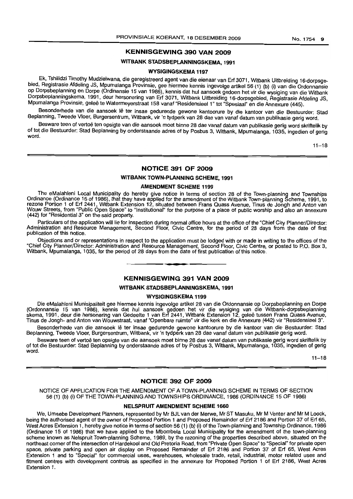## **KENNISGEWING 390 VAN 2009**

## **WITBANK STADSBEPLANNINGSKEMA, 1991**

#### **WYSIGINGSKEMA 1197**

Ek, Tshilidzi Timothy Mudzielwana, die geregistreerd agent van die eienaar van Erf 3071, Witbank Uitbreiding 16-dorpsgebied, Registrasie Afdeling JS, Mpumalanga Provinsie, gee hiermee kennis ingevolge artikel 56 (1) (b) (i) van die Ordonnansie op Dorpsbeplanning en Dorpe (Ordinansie 15 van 1986), kennis dat hul aansoek gedoen het vir die wysiging van die Witbank Dorpsbeplanningskema, 1991, deur hersonering van Erf 3071, Witbank Uitbreiding 16-dorpsgebied, Registrasie Afdeling JS, Mpumalanga Provinsie, gelee te Watermeyerstraat 158 vanaf "Residensieel 1" tot "Spesiaal" en die Annexure (445).

Besonderhede van die aansoek lê ter insae gedurende gewone kantoorure by die kantoor van die Bestuurder: Stad Beplanning, Tweede Vloer, Burgersentrum, Witbank, vir 'n tydperk van 28 dae van vanaf datum van publikasie gerig word.

Besware teen of vertoë ten opsigte van die aansoek moet binne 28 dae vanaf datum van publikasie gerig word skriftelik by of tot die Bestuurder: Stad Beplanning by onderstaande adres of by Posbus 3, Witbank, Mpumalanga, 1035, ingedien of gerig word.

 $11 - 18$ 

## **NOTICE 391 OF 2009**

#### **WITBANK TOWN-PLANNING SCHEME, 1991**

#### **AMENDMENT SCHEME 1199**

The eMalahleni Local Municipality do hereby give notice in terms of section 28 of the Town-planning and Townships Ordinance (Ordinance 15 of 1986), that they have applied for the amendment of the Witbank Town-planning Scheme, 1991, to rezone Portion 1 of Erf 2441, Witbank Extension 12, situated between Frans Quass Avenue, Tinus de Jongh and Anton van Wouw Streets, from "Public Open Space" to "Institutional" for the purpose of a place of public worship and also an annexure (442) for "Residential 3" on the said property.

Particulars of the application will lie for inspection during normal office hours at the office of the "Chief City Planner/Director: Administration and Resource Management, Second Floor, Civic Centre, for the period of 28 days from the date of first publication of this notice.

Objections and or representations in respect to the application must be lodged with or made in writing to the offices of the "Chief City Planner/Director: Administration and Resource Management, Second Floor, Civic Centre, or posted to P.O. Box 3, Witbank, Mpumalanga, 1035, for the period of 28 days from the date of first publication of this notice.

## **KENNISGEWING 391 VAN 2009**

**•**

#### **WITBANK STADSBEPLANNINGSKEMA, 1991**

#### **WYSIGINGSKEMA 1199**

Die eMalahleni Munisipaliteit gee hiermee kennis ingevolge artikel 28 van die Ordonnansie op Dorpsbeplanning en Dorpe (Ordonnansie 15 van 1986), kennis dat hul aansoek gedoen het vir die wysiging van die Witbank-dorpsbeplanning skema, 1991, deur die hersonering van Gedeelte 1 van Erf 2441, Witbank Extension 12, gelee tussen Frans Quass Avenue, Tinus de Jongh- and Anton van Wouwstraat, vanaf "Openbare ruimte" vir die kerk en die Annexure (442) vir "Residensieel 3".

Besonderhede van die aansoek Iê ter insae gedurende gewone kantoorure by die kantoor van die Bestuurder: Stad Beplanning, Tweede Vloer, Burgersentrum, Witbank, vir 'n tydperk van 28 dae vanaf datum van publikasie gerig word.

Besware teen of vertoë ten opsigte van die aansoek moet binne 28 dae vanaf datum van publikasie gerig word skriftelik by of tot die Bestuurder: Stad Beplanning by onderstaande adres of by Posbus 3, Witbank, Mpumalanga, 1035, ingedien of gerig word.

 $11 - 18$ 

## **NOTICE 392 OF 2009**

NOTICE OF APPLICATION FOR **THE** AMENDMENT OF A TOWN-PLANNING SCHEME IN TERMS OF SECTION 56 (1) (b) (i) OF THE TOWN-PLANNING AND TOWNSHIPS ORDINANCE, 1986 (ORDINANCE 15 OF 1986)

#### **NELSPRUIT AMENDMENT SCHEME 1660**

We, Umsebe Development Planners, represented by Mr BJL van der Merwe, Mr ST Masuku, Mr M Venter and Mr M Loock, being the authorised agent of the owner of Proposed Portion 1 and Proposed Remainder of Erf 2186 and Portion 37 of Erf 65, West Acres Extension 1, hereby give notice in terms of section 56 (1) (b) (i) of the Town-planning and Township Ordinance, 1986 (Ordinance 15 of 1986) that we have applied to the Mbombela Local Municipality for the amendment of the town-planning scheme known as Nelspruit Town-planning Scheme, 1989, by the rezoning of the properties described above, situated on the northeast corner of the intersection of Hardekool and Old Pretoria Road, from "Private Open Space" to "Special" for private open space, private parking and open air display on Proposed Remainder of Erf 2186 and Portion 37 of Erf 65, West Acres Extension 1 and to "Special" for commercial uses, warehouses, wholesale trade, retail, industrial, motor related uses and fitment centres with development controls as specified in the annexure for Proposed Portion 1 of Erf 2186, West Acres Extension 1.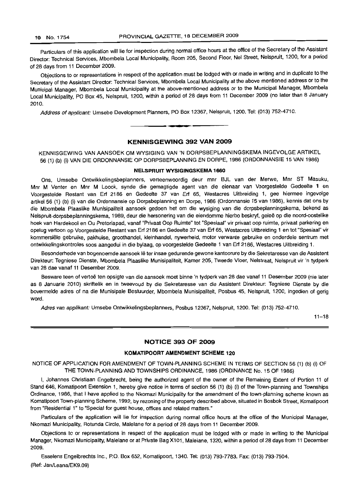Particulars of this application will lie for inspection during normal office hours at the office of the Secretary of the Assistant Director: Technical Services, Mbombela Local Municipality, Room 205, Second Floor, Nel Street, Nelspruit, 1200, for a period of 28 days from 11 December 2009.

Objections to or representations in respect of the application must be lodged with or made in writing and in duplicate to the Secretary of the Assistant Director: Technical Services, Mbombela Local Municipality at the above mentioned address or to the Municipal Manager, Mbombela Local Municipality at the above-mentioned address or to the Municipal Manager, Mbombela Local Municipality, PO Box 45, Nelspruit, 1200, within a period of 28 days from 11 December 2009 (no later than 8 January 2010.

Address of applicant: Umsebe Development Planners, PO Box 12367, Nelspruit, 1200. Tel: (013) 752-4710.

## **KENNISGEWING 392 VAN 2009**

**• I**

KENNISGEWING VAN AANSOEK OM WYSIGING VAN 'N DORPSBEPLANNINGSKEMA INGEVOLGE ARTIKEL 56 (1) (b) (i) VAN DIE ORDONNANSIE OP DORPSBEPLANNING EN DORPE, 1986 (ORDONNANSIE 15 VAN 1986)

## **NELSPRUIT WYSIGINGSKEMA 1660**

Ons, Umsebe Ontwikkelingsbeplanners, verteenwoordig deur mnr BJL van der Merwe, Mnr ST Masuku, Mnr M Venter en Mnr M Loock, synde die gemagtigde agent van die eienaar van Voorgestelde Gedeelte 1 en Voorgestelde Restant van Erf 2186 en Gedeelte 37 van Erf 65, Westacres Uitbreiding 1, gee hiermee ingevolge artikel 56 (1) (b) (i) van die Ordonnansie op Dorpsbeplanning en Dorpe, 1986 (Ordonnansie 15 van 1986), kennis dat ons by die Mbombela Plaaslike Munisipaliteit aansoek gedoen het om die wysiging van die dorpsbeplanningskema, bekend as Nelspruit-dorpsbeplanningskema, 1989, deur die hersonering van die eiendomme hierbo beskryf, gelee op die noord-oostelike hoek van Hardekool en Ou Pretoriapad, vanaf "Privaat Oop Ruimte" tot "Spesiaal" vir privaat oop ruimte, privaat parkering en opelug vertoon op Voorgestelde Restant van Erf 2186 en Gedeelte 37 van Erf 65, Westacres Uitbreiding 1 en tot "Spesiaal" vir kornrnersiele gebruike, pakhuise, groothandel, kleinhandel, nywerheid, motor verwante gebruike en onderdele sentrum met ontwikkelingskontroles soos aangedui in die bylaag, op voorgestelde Gedeelte 1 van Erf 2186, Westacres Uitbreiding 1.

Besonderhede van bogenoemde aansoek lê ter insae gedurende gewone kantoorure by die Sekretaresse van die Assistent Direkteur: Tegniese Dienste, Mbombela Plaaslike Munisipaliteit, Kamer 205, Tweede Vloer, Nelstraat, Nelspruit vir 'n tydperk van 28 dae vanaf 11 Desember 2009.

Besware teen of vertoe ten opsigte van die aansoek moet binne 'n tydperk van 28 dae vanaf 11 Desember 2009 (nie later as 8 Januarie 2010) skriftelik en in tweevoud by die Sekretaresse van die Assistent Direkteur: Tegniese Dienste by die bovermelde adres of na die Munisipale Bestuurder, Mbombela Munisipaliteit, Posbus 45, Nelspruit, 1200, ingedien of gerig word.

Adres van applikant: Umsebe Ontwikkelingsbeplanners, Posbus 12367, Nelspruit, 1200. Tel: (013) 752-4710.

 $11 - 18$ 

## **NOTICE 393 OF 2009**

### **KOMATIPOORT AMENDMENT SCHEME 120**

NOTICE OF APPLICATION FOR AMENDMENT OF TOWN-PLANNING SCHEME IN TERMS OF SECTION 56 (1) (b) (i) OF THE TOWN-PLANNING AND TOWNSHIPS ORDINANCE, 1986 (ORDINANCE No. 15 OF 1986)

I, Johannes Christiaan Engelbrecht, being the authorized agent of the owner of the Remaining Extent of Portion 11 of Stand 646, Komatipoort Extension 1, hereby give notice in terms of section 56 (1) (b) (i) of the Town-planning and Townships Ordinance, 1986, that I have applied to the Nkomazi Municipality for the amendment of the town-planning scheme known as Komatipoort Town-planning Scheme, 1992, by rezoning of the property described above, situated in Bosbok Street, Komatipoort from "Residential 1" to "Special for guest house, offices and related matters."

Particulars of the application will lie for inspection during normal office hours at the office of the Municipal Manager, Nkomazi Municipality, Rotunda Circle, Malelane for a period of 28 days from 11 December 2009.

Objections to or representations in respect of the application must be lodged with or made in writing to the Municipal Manager, Nkomazi Municipality, Malelane or at Private Bag X101, Malelane, 1320, within a period of 28 days from 11 December 2009.

Esselens Engelbrechts Inc., PO. Box 652, Komatipoort, 1340. Tel: (013) 793-7783. Fax: (013) 793-7504. (Ref: Jan/Leana/EK9.09)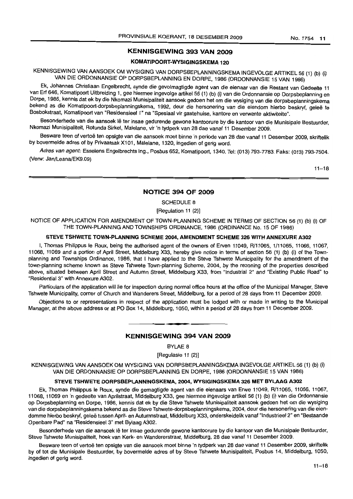## KENNISGEWING 393 VAN 2009

## KOMATIPOORT-WYSIGINGSKEMA 120

KENNISGEWING VAN AANSOEK OM WYSIGING VAN DORPSBEPLANNINGSKEMA INGEVOLGE ARTIKEL 56 (1) (b) (i) VAN DIE ORDONNANSIE OP DORPSBEPLANNING EN DORPE, 1986 (ORDONNANSIE 15 VAN 1986)

Ek, Johannes Christiaan Engelbrecht, synde die gevolmagtigde agent van die eienaar van die Restant van Gedeelte 11 van Erf 646, Komatipoort Uitbreiding 1, gee hiermee ingevolge artikel 56 (1) (b) (i) van die Ordonnansie op Dorpsbeplanning en Dorpe, 1986, kennis dat ek by die Nkomazi Munisipaliteit aansoek gedoen het om die wysiging van die dorpsbeplanningskema bekend as die Komatipoort-dorpsbeplanningskema, 1992, deur die hersonering van die eiendom hierbo beskryf, geleë te Bosbokstraat, Komatipoort van "Residensieel 1" na "Spesiaal vir gastehuise, kantore en verwante aktiwiteite".

Besonderhede van die aansoek lê ter insae gedurende gewone kantoorure by die kantoor van die Munisipale Bestuurder, Nkomazi Munisipaliteit, Rotunda Sirkel, Malelane, vir 'n tydperk van 28 dae vanaf 11 Desember 2009.

Besware teen of vertoë ten opsigte van die aansoek moet binne 'n periode van 28 dae vanaf 11 Desember 2009, skriftelik by bovermelde adres of by Privaatsak X101, Malelane, 1320, ingedien of gerig word.

Adres van agent: Esselens Engelbrechts Ing., Posbus 652, Komatipoort, 1340. Tel: (013) 793-7783. Faks: (013) 793-7504. (Verw: Jan/Leana/EK9.09)

 $11 - 18$ 

## NOTICE 394 OF 2009

SCHEDULE 8

[Regulation 11 (2)]

NOTICE OF APPLICATION FOR AMENDMENT OF TOWN-PLANNING SCHEME IN TERMS OF SECTION 56 (1) (b) (i) OF THE TOWN-PLANNING AND TOWNSHIPS ORDINANCE, 1986 (ORDINANCE No. 15 OF 1986)

## STEVE TSHWETE TOWN·PLANNING SCHEME 2004, AMENDMENT SCHEME 326 WITH ANNEXURE A302

I, Thomas Philippus Ie Roux, being the authorised agent of the owners of Erven 11049, R/11 065, 1/11065, 11066, 11067, 11068, 11069 and a portion of April Street, Middelburg X33, hereby give notice in terms of section 56 (1) (b) (i) of the Townplanning and Townships Ordinance, 1986, that I have applied to the Steve Tshwete Municipality for the amendment of the town-planning scheme known as Steve Tshwete Town-planning Scheme, 2004, by the rezoning of the properties described above, situated between April Street and Autumn Street, Middelburg X33, from "Industrial 2" and "Existing Public Road" to "Residential 3" with Annexure A302.

Particulars of the application will lie for inspection during normal office hours at the office of the Municipal Manager, Steve Tshwete Municipality, corner of Church and Wanderers Street, Middelburg, for a period of 28 days from 11 December 2009.

Objections to or representations in respect of the application must be lodged with or made in writing to the Municipal Manager, at the above address or at PO Box 14, Middelburg, 1050, within a period of 28 days from 11 December 2009.

## KENNISGEWING 394 VAN 2009

**.-**

BYLAE 8

[Regulasie 11 (2)]

KENNISGEWING VAN AANSOEK OM WYSIGING VAN DORPSBEPLANNINGSKEMA INGEVOLGE ARTIKEL 56 (1) (b) (i) VAN DIE ORDONNANSIE OP DORPSBEPLANNING EN DORPE, 1986 (ORDONNANSIE 15 VAN 1986)

## STEVE TSHWETE DORPSBEPLANNINGSKEMA, 2004, WYSIGINGSKEMA 326 MET BYLAAG A302

Ek, Thomas Philippus Ie Roux, synde die gemagtigde agent van die eienaars van Erwe 11049, R/l1 065, 11066, 11067, 11068, 11069 en 'n gedeelte van Aprilstraat, Middelburg X33, gee hiermee ingevolge artikel 56 (1) (b) (i) van die Ordonnansie op Dorpsbeplanning en Dorpe, 1986, kennis dat ek by die Steve Tshwete Munisipaliteit aansoek gedoen het om die wysiging van die dorpsbeplanningskema bekend as die Steve Tshwete-dorpsbeplanningskema, 2004, deur die hersonering van die eiendomme hierbo beskryf, gelee tussen April- en Autumnstraat, Middelburg X33, onderskeidelik vanaf "Industrieel 2" en "Bestaande Openbare Pad" na "Resldensieel 3" met Bylaag A302.

Besonderhede van die aansoek lê ter insae gedurende gewone kantoorure by die kantoor van die Munisipale Bestuurder, Steve Tshwete Munisipaliteit, hoek van Kerk- en Wandererstraat, Middelburg, 28 dae vanaf 11 Desember 2009.

Besware teen of vertoë ten opsigte van die aansoek moet binne 'n tydperk van 28 dae vanaf 11 Desember 2009, skriftelik by of tot die Munisipale Bestuurder, by bovermelde adres of by Steve Tshwete Munisipaliteit, Posbus 14, Middelburg, 1050, ingedien of gerig word.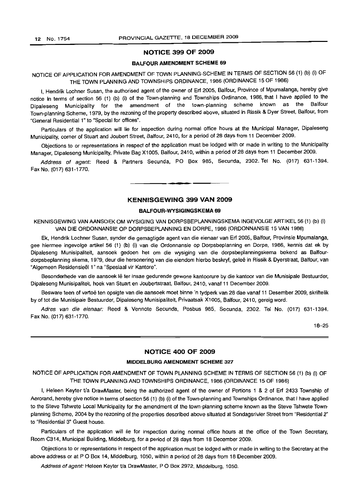## NOTICE 399 OF 2009

## BALFOUR AMENDMENT SCHEME 69

NOTICE OF APPLICATION FOR AMENDMENT OF TOWN PLANNING-SCHEME IN TERMS OF SECTION 56 (1) (b) (i) OF THE TOWN PLANNING AND TOWNSHIPS ORDINANCE, 1986 (ORDINANCE 15 OF 1986)

I, Hendrik Lochner Susan, the authorised agent of the owner of Erf 2005, Balfour, Province of Mpumalanga, hereby give notice in terms of section 56 (1) (b) (i) of the Town-planning and Townships Ordinance, 1986, that I have applied to the Dipaleseng Municipality for the amendment of the town-planning scheme known as the Balfour Town-planning Scheme, 1979, by the rezoning of the property described above, situated in Rissik & Dyer Street, Balfour, from "General Residential 1" to "Special for offices".

Particulars of the application will lie for inspection during normal office hours at the Municipal Manager, Dipaleseng Municipality, corner of Stuart and Joubert Street, Balfour, 2410, for a period of 28 days from 11 December 2009.

Objections to or representations in respect of the application must be lodged with or made in writing to the Municipality Manager, Dipaleseng Municipality, Private Bag X1005, Balfour, 2410, within a period of 28 days from 11 December 2009.

Address of agent: Reed & Partners Secunda, PO Box 985, Secunda, 2302. Tel No. (017) 631-1394. Fax No. (017) 631-1770.

• **• I**

## KENNISGEWING 399 VAN 2009

## BALFOUR-WYSIGINGSKEMA 69

KENNISGEWING VAN AANSOEK OM WYSIGING VAN DORPSBEPLANNINGSKEMA INGEVOLGE ARTIKEL 56 (1) (b) (i) VAN DIE ORDONNANSIE OP DORPSBEPLANNING EN DORPE, 1986 (ORDONNANSIE 15 VAN 1986)

Ek, Hendrik Lochner Susan, synder die gemagtigde agent van die eienaar van Erf 2005, Balfour, Provinsie Mpumalanga, gee hiermee ingevolge artikel 56 (1) (b) (i) van die Ordonnansie op Dorpsbeplanning en Dorpe, 1986, kennis dat ek by Dipaleseng Munisipaliteit, aansoek gedoen het om die wysiging van die dorpsbeplanningskema bekend as Balfourdorpsbeplanning skema, 1979, deur die hersonering van die eiendom hierbo beskryf, geleë in Rissik & Dyerstraat, Balfour, van "Algemeen Residensieel 1" na "Spesiaal vir Kantore".

Besonderhede van die aansoek Ie ter insae gedurende gewone kantoorure by die kantoor van die Munisipale Bestuurder, Dipaleseng Munisipaliteit, hoek van Stuart en Joubertstraat, Balfour, 2410, vanaf 11 December 2009.

Besware teen of vertoe ten opsigte van die aansoek moet binne 'n tydperk van 28 dae vanaf 11 Desember 2009, skriftelik by of tot die Munisipale Bestuurder, Dipaleseng Munisipaliteit, Privaatsak X1005, Balfour, 2410, gereig word.

Adres van die eienaar: Reed & Vennote Secunda, Posbus 985, Secunda, 2302. Tel No. (017) 631-1394. Fax No. (017) 631-1770.

18-25

## NOTICE 400 OF 2009

## MIDDELBURG AMENDMENT SCHEME 327

NOTICE OF APPLICATION FOR AMENDMENT OF TOWN PLANNING SCHEME IN TERMS OF SECTION 56 (1) (b) (i) OF THE TOWN PLANNING AND TOWNSHIPS ORDINANCE, 1986 (ORDINANCE 15 OF 1986)

I, Heleen Keyter *Va* DrawMaster, being the authorized agent of the owner of Portions 1 & 2 of Erf 2433 Township of Aerorand, hereby give notice in terms of section 56 (1) (b) (i) of the Town-planning and Townships Ordinance, that I have applied to the Steve Tshwete Local Municipality for the amendment of the town-planning scheme known as the Steve Tshwete Townplanning Scheme, 2004 by the rezoning of the properties described above situated at Sondagsrivier Street from "Residential 2" to "Residential 3" Guest house.

Particulars of the application will lie for inspection during normal office hours at the office of the Town Secretary, Room C314, Municipal Building, Middelburg, for a period of 28 days from 18 December 2009.

Objections to or representations in respect of the application must be lodged with or made in writing to the Secretary at the above address or at P O Box 14, Middelburg, 1050, within a period of 28 days from 18 December 2009.

Address of agent: Heleen Keyter t/a DrawMaster, PO Box 2972, Middelburg, 1050.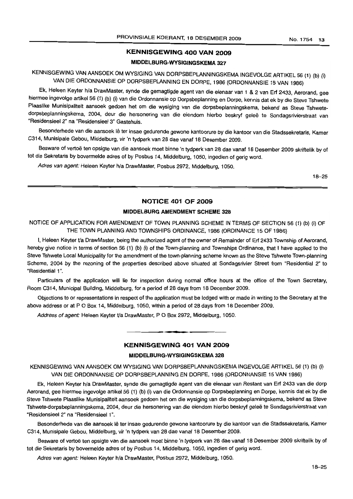## **KENNISGEWING 400 VAN 2009**

## **MIDDELBURG-WYSIGINGSKEMA 327**

KENNISGEWING VAN AANSOEK OM WYSIGING VAN DORPSBEPLANNINGSKEMA INGEVOLGE ARTIKEL 56 (1) (b) (i) VAN DIE ORDONNANSIE OP DORPSBEPLANNING EN DORPE, 1986 (ORDONNANSIE 15 VAN 1986)

Ek, Heleen Keyter h/a DrawMaster, synde die gemagtigde agent van die eienaar van 1 & 2 van Erf 2433, Aerorand, gee hiermee ingevolge artikel 56 (1) (b) (i) van die Ordonnansie op Dorpsbeplanning en Dorpe, kennis dat ek by die Steve Tshwete Plaaslike Munisipaliteit aansoek gedoen het om die wysiging van die dorpsbeplanningskema, bekend as Steve Tshwetedorpsbeplanningskema, 2004, deur die hersonering van die eiendom hierbo beskryf geleë te Sondagsrivierstraat van "Residensieel 2" na "Residensieel 3" Gastehuis.

Besonderhede van die aansoek lê ter insae gedurende gewone kantoorure by die kantoor van die Stadssekretaris, Kamer C314, Munisipale Gebou, Middelburg, vir 'n tydperk van 28 dae vanaf 18 Desember 2009.

Besware of vertoë ten opsigte van die aansoek moet binne 'n tydperk van 28 dae vanaf 18 Desember 2009 skriftelik by of tot die Sekretaris by bovermelde adres of by Posbus 14, Middelburg, 1050, ingedien of gerig word.

Adres van agent: Heleen Keyter h/a DrawMaster, Posbus 2972, Middelburg, 1050.

18-25

## **NOTICE 401 OF 2009**

## **MIDDELBURG AMENDMENT SCHEME 328**

NOTICE OF APPLICATION FOR AMENDMENT OF TOWN PLANNING SCHEME IN TERMS OF SECTION 56 (1) (b) (i) OF THE TOWN PLANNING AND TOWNSHIPS ORDINANCE, 1986 (ORDINANCE 15 OF 1986)

I, Heleen Keyter t/a DrawMaster, being the authorized agent of the owner of Remainder of Erf 2433 Township of Aerorand, hereby give notice in terms of section 56 (1) (b) (i) of the Town-planning and Townships Ordinance, that I have applied to the Steve Tshwete Local Municipality for the amendment of the town-planning scheme known as the Steve Tshwete Town-planning Scheme, 2004 by the rezoning of the properties described above situated at Sondagsrivier Street from "Residential 2" to "Residential 1".

Particulars of the application will lie for inspection during normal office hours at the office of the Town Secretary, Room C314, Municipal Building, Middelburg, for a period of 28 days from 18 December 2009.

Objections to or representations in respect of the application must be lodged with or made in writing to the Secretary at the above address or at P O Box 14, Middelburg, 1050, within a period of 28 days from 18 December 2009.

Address of agent: Heleen Keyter t/a DrawMaster, P O Box 2972, Middelburg, 1050.

#### **KENNISGEWING 401 VAN 2009**

**• •**

## **MJDDELBURG·WYSIGINGSKEMA 328**

KENNISGEWING VAN AANSOEK OM WYSIGING VAN DORPSBEPLANNINGSKEMA INGEVOLGE ARTIKEL 56 (1) (b) (i) VAN DIE ORDONNANSIE OP DORPSBEPLANNING EN DORPE, 1986 (ORDONNANSIE 15 VAN 1986)

Ek, Heleen Keyter h/a DrawMaster, synde die gemagtigde agent van die eienaar van Restant van Erf 2433 van die dorp Aerorand, gee hiermee ingevolge artikel 56 (1) (b) (i) van die Ordonnansie op Dorpsbeplanning en Dorpe, kennis dat ek by die Steve Tshwete Plaaslike Munisipaliteit aansoek gedoen het om die wysiging van die dorpsbeplanningskema, bekend as Steve Tshwete-dorpsbeplanningskema, 2004, deur die hersonering van die eiendom hierbo beskryf gelee te Sondagsrivierstraat van "Residensieel 2" na "Residensieel 1".

Besonderhede van die aansoek lê ter insae gedurende gewone kantoorure by die kantoor van die Stadssekretaris, Kamer C314, Munisipale Gebou, Middelburg, vir 'n tydperk van 28 dae vanaf 18 Desember 2009.

Besware of vertoë ten opsigte van die aansoek moet binne 'n tydperk van 28 dae vanaf 18 Desember 2009 skriftelik by of tot die Sekretaris by bovermelde adres of by Posbus 14, Middelburg, 1050, ingedien of gerig word.

Adres van agent: Heleen Keyter h/a DrawMaster, Posbus 2972, Middelburg, 1050.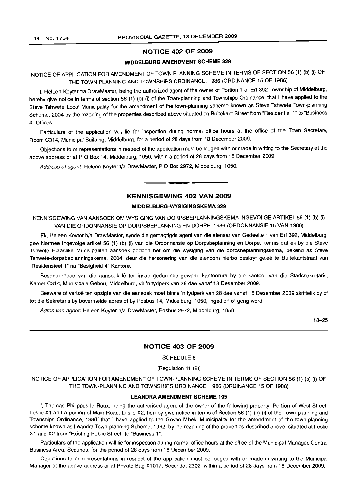## NOTICE 402 OF 2009

## MIDDELBURG AMENDMENT SCHEME 329

## NOTICE OF APPLICATION FOR AMENDMENT OF TOWN PLANNING SCHEME IN TERMS OF SECTION 56 (1) (b) (i) OF THE TOWN PLANNING AND TOWNSHIPS ORDINANCE, 1986 (ORDINANCE 15 OF 1986)

I, Heleen Keyter Va DrawMaster, being the authorized agent of the owner of Portion 1 of Erf 392 Township of Middelburg, hereby give notice in terms of section 56 (1) (b) (i) of the Town-planning and Townships Ordinance, that I have applied to the Steve Tshwete Local Municipality for the amendment of the town-planning scheme known as Steve Tshwete Town-planning Scheme, 2004 by the rezoning of the properties described above situated on Buitekant Street from "Residential 1" to "Business 4" Offices.

Particulars of the application will lie for inspection during normal office hours at the office of the Town Secretary, Room C314, Municipal Building, Middelburg, for a period of 28 days from 18 December 2009.

Objections to or representations in respect of the application must be lodged with or made in writing to the Secretary at the above address or at P O Box 14, Middelburg, 1050, within a period of 28 days from 18 December 2009.

Address of agent: Heleen Keyter t/a DrawMaster, P O Box 2972, Middelburg, 1050.

## KENNISGEWING 402 VAN 2009

**•**

#### MIDDELBURG-WYSIGINGSKEMA 329

KENNISGEWING VAN AANSOEK OM WYSIGING VAN DORPSBEPLANNINGSKEMA INGEVOLGE ARTIKEL 56 (1) (b) (i) VAN DIE ORDONNANSIE OP DORPSBEPLANNING EN DORPE, 1986 (ORDONNANSIE 15 VAN 1986)

Ek, Heleen Keyter h/a DrawMaster, synde die gemagtigde agent van die eienaar van Gedeelte 1 van Erf 392, Middelburg, gee hiermee ingevolge artikel 56 (1) (b) (i) van die Ordonnansie op Dorpsbeplanning en Dorpe, kennis dat ek by die Steve Tshwete Plaaslike Munisipaliteit aansoek gedoen het om die wysiging van die dorpsbeplanningskema, bekend as Steve Tshwete-dorpsbeplanningskema, 2004, deur die hersonering van die eiendom hierbo beskryf geleë te Buitekantstraat van "Residensieel 1" na "Besigheid 4" Kantore.

Besonderhede van die aansoek lê ter insae gedurende gewone kantoorure by die kantoor van die Stadssekretaris, Kamer C314, Munisipale Gebou, Middelburg, vir 'n tydperk van 28 dae vanaf 18 Desember 2009.

Besware of vertoë ten opsigte van die aansoek moet binne 'n tydperk van 28 dae vanaf 18 Desember 2009 skriftelik by of tot die Sekretaris by bovermelde adres of by Posbus 14, Middelburg, 1050, ingedien of gerig word.

Adres van agent: Heleen Keyter h/a DrawMaster, Posbus 2972, Middelburg, 1050.

18-25

## NOTICE 403 OF 2009

SCHEDULE 8

[Regulation 11 (2)]

NOTICE OF APPLICATION FOR AMENDMENT OF TOWN-PLANNING SCHEME IN TERMS OF SECTION 56 (1) (b) (i) OF THE TOWN-PLANNING AND TOWNSHIPS ORDINANCE, 1986 (ORDINANCE 15 OF 1986)

#### LEANDRA AMENDMENT SCHEME 105

I, Thomas Philippus Ie Roux, being the authorised agent of the owner of the following property: Portion of West Street, Leslie X1 and a portion of Main Road, Leslie X2, hereby give notice in terms of Section 56 (1) (b) (i) of the Town-planning and Townships Ordinance, 1986; that I have applied to the Govan Mbeki Municipality for the amendment of the town-planning scheme known as Leandra Town-planning Scheme, 1992, by the rezoning of the properties described above, situated at Leslie X1 and X2 from "Existing Public Street" to "Business 1",

Particulars of the application will lie for inspection during normal office hours at the office of the Municipal Manager, Central Business Area, Secunda, for the period of 28 days from 18 December 2009.

Objections to or representations in respect of the application must be lodged with or made in writing to the Municipal Manager at the above address or at Private Bag X1017, Secunda, 2302, within a period of 28 days from 18 December 2009.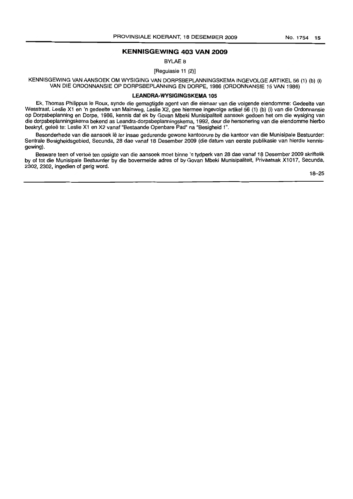## **KENNISGEWING 403 VAN 2009**

BYLAE 8

[Regulasie 11 (2)]

KENNISGEWING VAN AANSOEK OM WYSIGING VAN DORPSBEPLANNINGSKEMA INGEVOLGE ARTIKEL 56 (1) (b) (i) VAN DIE ORDONNANSIE OP DORPSBEPLANNING EN DORPE, 1986 (ORDONNANSIE 15 VAN 1986)

#### **LEANDRA-WYSIGINGSKEMA 105**

Ek, Thomas Philippus Ie Raux, synde die gemagtigde agent van die eienaar van die volgende eiendomme: Gedeelte van Wesstraat, Leslie X1 en 'n gedeelte van Mainweg, Leslie X2, gee hiermee ingevolge artikel 56 (1) (b) (i) van die Ordonnansie op Dorpsbeplanning en Dorpe, 1986, kennis dat ek by Govan Mbeki Munisipaliteit aansoek gedoen het om die wysiging van die dorpsbeplanningskema bekend as Leandra-dorpsbeplanningskema, 1992, deur die hersonering van die eiendomme hierbo beskryf, gelee te: Leslie X1 en X2 vanaf "Bestaande Openbare Pad" na "Besigheid 1".

Besonderhede van die aansoek lê ter insae gedurende gewone kantoorure by die kantoor van die Munisipale Bestuurder: Sentrale Besigheidsgebied, Secunda, 28 dae vanaf 18 Desember 2009 (die datum van eerste publikasie van hierdie kennisgewing).

Besware teen of vertoë ten opsigte van die aansoek moet binne 'n tydperk van 28 dae vanaf 18 Desember 2009 skriftelik by of tot die Munisipale Bestuurder by die bovermelde adres of by Govan Mbeki Munisipaliteit, Privaatsak X1017, Secunda, 2302, 2302, ingedien of gerig word.

18-25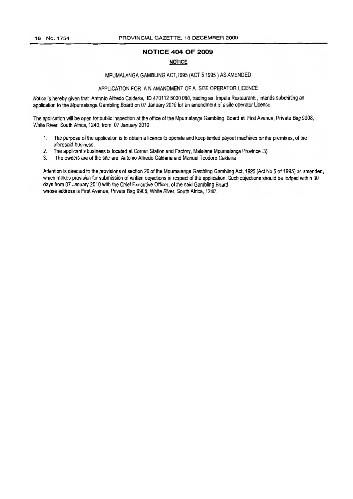## **NOTICE 404 OF 2009**

## **NOTICE**

## MPUMALANGA GAMBLING ACT, 1995 (ACT 5 1995) AS AMENDED

#### APPLICATION FOR AN AMANDMENT OF A SITE OPERATOR LICENCE

Notice is hereby given that Antonio Alfredo Calderia, ID 470112 5020 080, trading as Impala Restaurantt, intends submitting an application to the Mpumalanga Gambling Board on 07 January 2010 for an amendment of a site operator Licence.

The application will be open for public inspection at the office of the Mpumalanga Gambling Board at First Avenue, Private Bag 9908, White River, South Africa, 1240, from 07 January 2010

- 1. The purpose of the application is to obtain a licence to operate and keep limited payout machines on the premises, of the aforesaid business.
- 2. The applicant's business is located at Corner Station and Factory, Malelane Mpumalanga Province .3)
- 3. The owners are ofthe site are Antonio Alfredo Calderia and Manuel Teodoro Caldeira

Attention is directed to the provisions of section 26 of the Mpumalanga Gambling Gambling Act, 1995 (Act No.5 of 1995) as amended, which makes provision for submission of written objections in respect of the application. Such objections should be lodged within 30 days from 07 January 2010 with the Chief Executive Officer, of the said Gambling Board whose address is First Avenue, Private Bag 9908, White River, South Africa, 1240.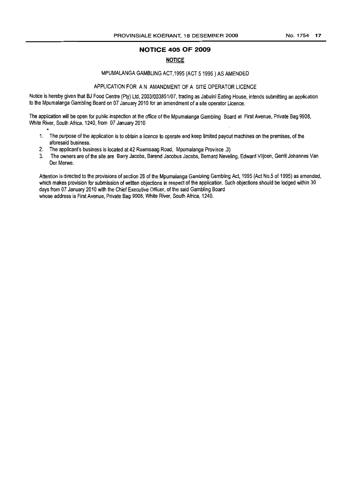## **NOTICE 405 OF 2009**

## **NOTICE**

## MPUMALANGA GAMBLING ACT,1995 (ACT 51995) AS AMENDED

## APPLICATION FOR AN AMANDMENT OF A SITE OPERATOR LICENCE

Notice is hereby given that BJ Food Centre (Pty) Ltd, 2003/003851/07, trading as Jabulni Eating House, intends submitting an application to the Mpumalanga Gambling Board on 07 January 2010 for an amendment of a site operator Licence.

The application will be open for public inspection at the office of the Mpumalanga Gambling Board at First Avenue, Private Bag 9908, White River, South Africa, 1240, from 07 January 2010

- 1. The purpose of the application is to obtain a licence to operate and keep limited payout machines on the premises, of the aforesaid business.
- 2. The applicant's business is located at 42 Raamsaag Road, Mpumalanga Province .3)
- 3. The owners are ofthe site are Barry Jacobs, Barend Jacobus Jacobs, Bernard Neveling, Edward Viljoen, Gerrit Johannes Van Der Merwe.

Attention is directed to the provisions of section 26 of the Mpumalanga Gambling Gambling Act, 1995 (Act No.5 of 1995) as amended, which makes provision for submission of written objections in respect of the application. Such objections should be lodged within 30 days from 07 January 2010 with the Chief Executive Officer, of the said Gambling Board whose address is First Avenue, Private Bag 9908, White River, South Africa, 1240.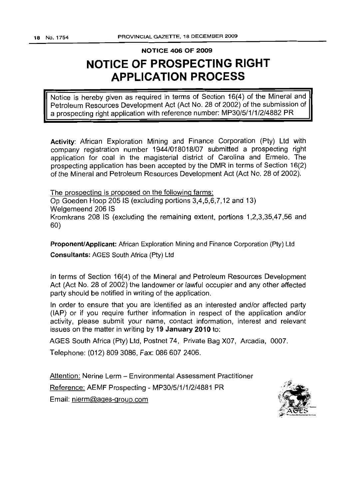## NOTICE 406 OF 2009

# **NOTICE OF PROSPECTING RIGHT APPLICATION PROCESS**

Notice is hereby given as required in terms of Section 16(4) of the Mineral and Petroleum Resources Development Act (Act No. 28 of 2002) of the submission of a prospecting right application with reference number: MP30/5/1/1/2/4882 PR

Activity: African Exploration Mining and Finance Corporation (Pty) Ltd with company registration number 1944/018018/07 submitted a prospecting right application for coal in the magisterial district of Carolina and Ermelo. The prospecting application has been accepted by the DMR in terms of Section 16(2) of the Mineral and Petroleum Resources Development Act (Act No. 28 of 2002).

The prospecting is proposed on the following farms: Op Goeden Hoop 205 IS (excluding portions 3,4,5,6,7,12 and 13) Welgemeend 206 IS Kromkrans 208 IS (excluding the remaining extent, portions 1,2,3,35,47,56 and 60)

Proponent/Applicant: African Exploration Mining and Finance Corporation (Pty) Ltd Consultants: AGES South Africa (Pty) Ltd

In terms of Section 16(4) of the Mineral and Petroleum Resources Development Act (Act No. 28 of 2002) the landowner or lawful occupier and any other affected party should be notified in writing of the application.

In order to ensure that you are identified as an interested and/or affected party (lAP) or if you require further information in respect of the application and/or activity, please submit your name, contact information, interest and relevant issues on the matter in writing by 19 January 2010 to:

AGES South Africa (Pty) Ltd, Postnet 74, Private Bag X07, Arcadia, 0007.

Telephone: (012) 809 3086, Fax: 0866072406.

Attention: Nerine Lerm - Environmental Assessment Practitioner Reference: AEMF Prospecting - MP30/5/1/1/2/4881 PR Email: nlerm@ages-group.com

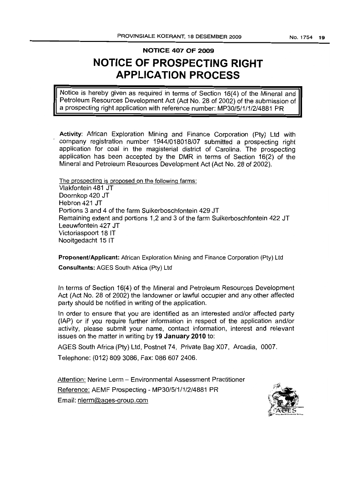No. 1754 **19**

## **NOTICE 407 OF 2009**

# **NOTICE OF PROSPECTING RIGHT APPLICATION PROCESS**

Notice is hereby given as required in terms of Section 16(4) of the Mineral and Petroleum Resources Development Act (Act No. 28 of 2002) of the submission of a prospecting right application with reference number: MP30/5/1/1/2/4881 PR

Activity: African Exploration Mining and Finance Corporation (Pty) Ltd with company registration number 1944/018018/07 submitted a prospecting right application for coal in the magisterial district of Carolina. The prospecting application has been accepted by the DMR in terms of Section 16(2) of the Mineral and Petroleum Resources Development Act (Act No. 28 of 2002).

The prospecting is proposed on the following farms: Vlakfontein 481 JT Doornkop 420 JT Hebron 421 JT Portions 3 and 4 of the farm Suikerboschfontein 429 JT Remaining extent and portions 1,2 and 3 of the farm Suikerboschfontein 422 JT Leeuwfontein 427 JT Victoriaspoort 18 IT Nooitgedacht 15 IT

**Proponent/Applicant:** African Exploration Mining and Finance Corporation (Pty) Ltd **Consultants:** AGES South Africa (Pty) Ltd

In terms of Section 16(4) of the Mineral and Petroleum Resources Development Act (Act No. 28 of 2002) the landowner or lawful occupier and any other affected party should be notified in writing of the application.

In order to ensure that you are identified as an interested and/or affected party (lAP) or if you require further information in respect of the application and/or activity, please submit your name, contact information, interest and relevant issues on the matter in writing by **19 January 2010** to:

AGES South Africa (Pty) ltd, Postnet 74, Private Bag X07, Arcadia, 0007.

Telephone: (012) 809 3086, Fax: 086 607 2406.

Attention: Nerine Lerm - Environmental Assessment Practitioner Reference: AEMF Prospecting - MP30/5/1/1/2/4881 PR Email: nlerm@ages-group.com

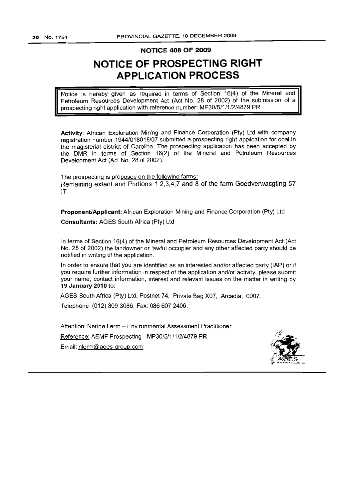## **NOTICE 408 OF 2009**

# **NOTICE OF PROSPECTING RIGHT APPLICATION PROCESS**

Notice is hereby given as required in terms of Section 16(4) of the Mineral and Petroleum Resources Development Act (Act No. 28 of 2002) of the submission of a prospecting right application with reference number: MP30/5/1/1/2/4879 PR

Activity: African Exploration Mining and Finance Corporation (Pty) Ltd with company registration number 1944/018018/07 submitted a prospecting right application for coal in the magisterial district of Carolina. The prospecting application has been accepted by the DMR in terms of Section 16(2) of the Mineral and Petroleum Resources Development Act (Act No. 28 of 2002).

The prospecting is proposed on the following farms: Remaining extent and Portions 1 2,3,4,7 and 8 of the farm Goedverwacgting 57 IT

Proponent/Applicant: African Exploration Mining and Finance Corporation (Pty) Ltd Consultants: AGES South Africa (Pty) Ltd

In terms of Section 16(4) of the Mineral and Petroleum Resources Development Act (Act No. 28 of 2002) the landowner or lawful occupier and any other affected party should be notified in writing of the application.

In order to ensure that you are identified as an interested and/or affected party (lAP) or if you require further information in respect of the application and/or activity, please submit your name, contact information, interest and relevant issues on the matter in writing by 19 January 2010 to:

AGES South Africa (Pty) Ltd, Postnet 74, Private Bag X07, Arcadia, 0007.

Telephone: (012) 809 3086, Fax: 0866072406.

Attention: Nerine Lerm - Environmental Assessment Practitioner Reference: AEMF Prospecting - MP30/5/1/1/2/4879 PR Email: nlerm@ages-group.com

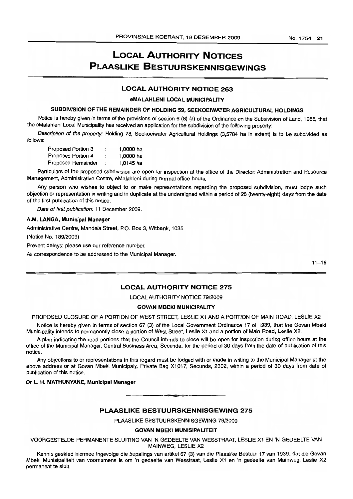# **LOCAL AUTHORITY NOTICES PLAASLIKE BESTUURSKENNISGEWINGS**

## **LOCAL AUTHORITY NOTICE** 263

## eMALAHLENI LOCAL MUNICIPALITY

## SUBDIVISION OF THE REMAINDER OF HOLDING 59, SEEKOEIWATER AGRICULTURAL HOLDINGS

Notice is hereby given in terms of the provisions of section 6 (8) (a) of the Ordinance on the Subdivision of Land, 1986, that the eMalahleni Local Municipality has received an application for the subdivision of the following property:

Description of the property: Holding 78, Seekoeiwater Agricultural Holdings (3,5784 ha in extent) is to be subdivided as follows:

| Proposed Portion 3 | ٠ | 1,0000 ha |
|--------------------|---|-----------|
| Proposed Portion 4 |   | 1,0000 ha |
| Proposed Remainder |   | 1,0145 ha |

Particulars of the proposed subdivision are open for inspection at the office of the Director: Administration and Resource Management, Administrative Centre, eMalahleni during normal office hours.

Any person who wishes to object to or make representations regarding the proposed subdivision, must lodge such objection or representation in writing and in duplicate at the undersigned within a period of 28 (twenty-eight) days from the date of the first publication of this notice.

Date of first publication: 11 December 2009.

#### A.M. LANGA, Municipal Manager

Administrative Centre, Mandela Street, P.O. Box 3, Witbank, 1035

(Notice No. 189/2009)

Prevent delays: please use our reference number.

All correspondence to be addressed to the Municipal Manager.

 $11 - 18$ 

## **LOCAL AUTHORITY NOTICE** 275

LOCAL AUTHORITY NOTICE 79/2009

#### GOVAN MBEKI MUNICIPALITY

PROPOSED CLOSURE OF A PORTION OF WEST STREET, LESLIE X1 AND A PORTION OF MAIN ROAD, LESLIE X2

Notice is hereby given in terms of section 67 (3) of the Local Government Ordinance 17 of 1939, that the Govan Mbeki Municipality intends to permanently close a portion of West Street, Leslie X1 and a portion of Main Road, Leslie X2.

A plan indicating the road portions that the Council intends to close will be open for inspection during office hours at the office of the Municipal Manager, Central Business Area, Secunda, for the period of 30 days from the date of publication of this notice.

Any objections to or representations in this regard must be lodged with or made in writing to the Municipal Manager at the above address or at Govan Mbeki Municipaly, Private Bag X1017, Secunda, 2302, within a period of 30 days from date of publication of this notice.

Dr L. H. MATHUNYANE, Municipal Manager

## **PLAASLIKE BESTUURSKENNISGEWING** 275

=

PLAASLIKE BESTUURSKENNISGEWING 79/2009

#### GOVAN MBEKI MUNISIPALITEIT

VOORGESTELDE PERMANENTE SLUITING VAN 'N GEDEELTE VAN WESSTRAAT, LESLIE X1 EN 'N GEDEELTE VAN MAINWEG, LESLIE X2

Kennis geskied hiermee ingevolge die bepalings van artikel 67 (3) van die Plaaslike Bestuur 17 van 1939, dat die Govan Mbeki Munisipaliteit van voornemens is om 'n gedeelte van Wesstraat, Leslie X1 en 'n gedeelte van Mainweg, Leslie X2 permanent te sluit.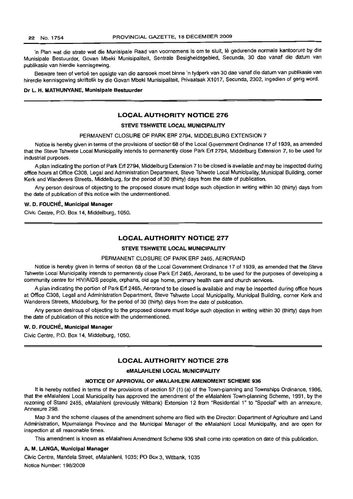'n Plan wat die strate wat die Munisipale Raad van voornemens is om te sluit, lê gedurende normale kantoorure by die Munisipale Bestuurder, Govan Mbeki Munisipaliteit, Sentrale Besigheidsgebied, Secunda, 30 dae vanaf die datum van publikasie van hierdie kennisgewing.

Besware teen of vertoë ten opsigte van die aansoek moet binne 'n tydperk van 30 dae vanaf die datum van publikasie van hirerdie kennisgewing skriftelik by die Govan Mbeki Munisipaliteit, Privaatsak X1017, Secunda, 2302, ingedien of gerig word.

#### Dr L. H. MATHUNYANE, Munisipale Bestuurder

## LOCAL AUTHORITY NOTICE 276

#### STEVE TSHWETE LOCAL MUNICIPALITY

#### PERMANENT CLOSURE OF PARK ERF 2794, MIDDELBURG EXTENSION 7

Notice is hereby given in terms of the provisions of section 68 of the Local Government Ordinance 17 of 1939, as amended that the Steve Tshwete Local Municipality intends to permanently close Park Erf 2794, Middelburg Extension 7, to be used for industrial purposes.

A plan indicating the portion of Park Erf 2794, Middelburg Extension 7 to be closed is available and may be inspected during office hours at Office C308, Legal and Administration Department, Steve Tshwete Local Municipality, Municipal Building, corner Kerk and Wanderers Streets, Middelburg, for the period of 30 (thirty) days from the date of publication.

Any person desirous of objecting to the proposed closure must lodge such objection in writing within 30 (thirty) days from the date of publication of this notice with the undermentioned.

#### W. D. FOUCHE, Municipal Manager

Civic Centre, P.O. Box 14, Middelburg, 1050.

## LOCAL AUTHORITY NOTICE 277

#### STEVE TSHWETE LOCAL MUNICIPALITY

#### PERMANENT CLOSURE OF PARK ERF 2465, AERORAND

Notice is hereby given in terms of section 68 of the Local Government Ordinance 17 of 1939, as amended that the Steve Tshwete Local Municipality intends to permanently close Park Erf 2465, Aerorand, to be used for the purposes of developing a community centre for HIV/AIDS people, orphans, old age home, primary health care and church services.

A plan indicating the portion of Park Erf 2465, Aerorand to be closed is available and may be inspected during office hours at Office C308, Legal and Administration Department, Steve Tshwete Local Municipality, Municipal Building, corner Kerk and Wanderers Streets, Middelburg, for the period of 30 (thirty) days from the date of publication.

Any person desirous of objecting to the proposed closure must lodge such objection in writing within 30 (thirty) days from the date of publication of this notice with the undermentioned.

#### W. D. FOUCHÉ, Municipal Manager

Civic Centre, P.O. Box 14, Middelburg, 1050.

## LOCAL AUTHORITY NOTICE 278

#### eMALAHLENI LOCAL MUNICIPALITY

#### NOTICE OF APPROVAL OF eMALAHLENI AMENDMENT SCHEME 936

It is hereby notified in terms of the provisions of section 57 (1) (a) of the Town-planning and Townships Ordinance, 1986, that the eMalahleni Local Municipality has approved the amendment of the eMalahleni Town-planning Scheme, 1991, by the rezoning of Stand 2455, eMalahleni (previously Witbank) Extension 12 from "Residential 1" to "Special" with an annexure, Annexure 298.

Map 3 and the scheme clauses of the amendment scheme are filed with the Director: Department of Agriculture and Land Administration, Mpumalanga Province and the Municipal Manager of the eMalahleni Local Municipality, and are open for inspection at all reasonable times.

This amendment is known as eMalahleni Amendment Scheme 936 shall come into operation on date of this publication.

#### A. M. LANGA, Municipal Manager

Civic Centre, Mandela Street, eMalahleni, 1035; PO Box 3, Witbank, 1035 Notice Number: 198/2009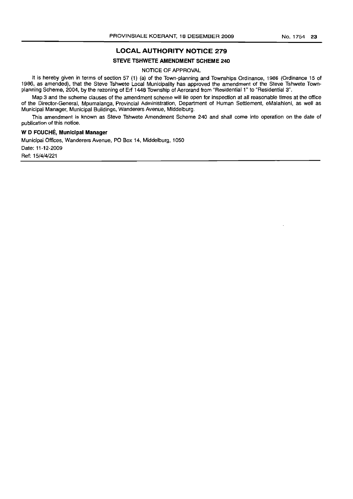## LOCAL AUTHORITY NOTICE 279

#### STEVE TSHWETE AMENDMENT SCHEME 240

NOTICE OF APPROVAL

It is hereby given in terms of section 57 (1) (a) of the Town-planning and Townships Ordinance, 1986 (Ordinance 15 of 1986, as amended), that the Steve Tshwete Local Municipality has approved the amendment of the Steve Tshwete Townplanning Scheme, 2004, by the rezoning of Erf 1448 Township of Aerorand from "Residential 1" to "Residential 3".

Map 3 and the scheme clauses of the amendment scheme will lie open for inspection at all reasonable times at the office of the Director-General, Mpumalanga, Provincial Administration, Department of Human Settlement, eMalahleni, as well as Municipal Manager, Municipal Buildings, Wanderers Avenue, Middelburg.

This amendment is known as Steve Tshwete Amendment Scheme 240 and shall come into operation on the date of publication of this notice.

## W D FOUCHE, Municipal Manager

Municipal Offices, Wanderers Avenue, PO Box 14, Middelburg, 1050 Date: 11-12-2009 Ref: 15/4/4/221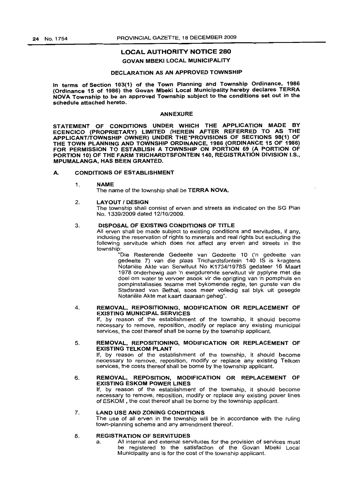## LOCAL AUTHORITY NOTICE 280

#### GOVAN MBEKI LOCAL MUNICIPALITY

## DECLARATION AS AN APPROVED TOWNSHIP

In terms of Section 103(1) of the Town Planning and Township Ordinance, 1986 (Ordinance 15 of 1986) the Govan Mbeki Local Municipality hereby declares TERRA NOVA Township to be an approved Township subject to the conditions set out in the schedule attached hereto.

#### ANNEXURE

STATEMENT OF CONDITIONS UNDER WHICH THE APPLICATION MADE BY ECENCICO (PROPRIETARY) LIMITED (HEREIN AFTER REFERRED TO AS THE APPLICANTITOWNSHIP OWNER) UNDER THE ·PROVISIONS OF SECTIONS 98(1) OF THE TOWN PLANNING AND TOWNSHIP ORDINANCE, 1986 (ORDINANCE 15 OF 1986) FOR PERMISSION TO ESTABLISH A TOWNSHIP ON PORTION 69 (A PORTION OF PORTION 10) OF THE FARM TRICHARDTSFONTEIN 140, REGISTRATION DIVISION I.S., MPUMALANGA, HAS BEEN GRANTED.

## A. CONDITIONS OF ESTABLISHMENT

#### 1. NAME

The name of the township shall be **TERRA NOVA.** 

#### 2. LAYOUT / DESIGN

The township shall consist of erven and streets as indicated on the SG Plan No. 1339/2009 dated 12/10/2009.

#### 3. DISPOSAL OF EXISTING CONDITIONS OF TITLE

All erven shall be made subject to existing conditions and servitudes, if any, including the reservation of rights to minerals and real rights but excluding the following servitude which does not affect any erven and streets in the township:

"Die Resterende Gedeelte van Gedeelte 10 ('n gedeelte van gedeelte 7) van die plaas Trichardtsfontein 140 IS is kragtens Notariële Akte van Serwituut No K1734/1978S gedateer 16 Maart 1978 onderhewig aan 'n ewigdurende serwituut vir pyplyne met die doel om water te vervoer asook vir die oprigting van 'n pomphuis en pompinstallasies tesame met bykomende regte, ten gunste van die Stadsraad van Bethal, soos meer volledig sal blyk uit gesegde Notariele Akte met kaart daaraan geheg".

#### 4. REMOVAL, REPOSITIONING, MODIFICATION OR REPLACEMENT OF EXISTING MUNICIPAL SERVICES

If, by reason of the establishment of the township, it should become necessary to remove, reposition, modify or replace any existing municipal services, the cost thereof shall be borne by the township applicant.

#### 5. REMOVAL, REPOSITIONING, MODIFICATION OR REPLACEMENT OF EXISTING TELKOM PLANT

If, by reason of the establishment of the township, it should become necessary to remove, reposition, modify or replace any existing Telkom services, the costs thereof shall be borne by the township applicant.

## 6. REMOVAL, REPOSITION, MODIFICATION OR REPLACEMENT OF EXISTING ESKOM POWER LINES

If, by reason of the establishment of the township, it should become necessary to remove, reposition, modify or replace any existing power lines of ESKOM , the cost thereof shall be borne by the township applicant.

#### 7. LAND USE AND ZONING CONDITIONS

The use of all erven in the township will be in accordance with the ruling town-planning scheme and any amendment thereof.

#### 8. REGISTRATION OF SERVITUDES

a. All internal and external servitudes for the provision of services must be registered to the satisfaction of the Govan Mbeki Local Municipality and is for the cost of the township applicant.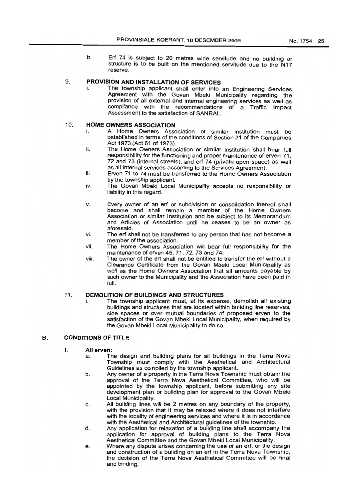b. Erf 74 is subject to 20 metres wide servitude and no building or structure is to be built on the mentioned servitude due to the N17 reserve.

## 9. **PROVISION AND INSTALLATION OF SERVICES**

i. The township applicant shall enter into an Engineering Services Agreement with the Govan Mbeki Municipality regarding the provision of all external and internal engineering services as well as compliance with the recommendations of a Traffic Impact Assessment to the satisfaction of SANRAL.

### 10. **HOME OWNERS ASSOCIATION**

- i. A Home Owners Association or similar Institution must be established in terms of the conditions of Section 21 of the Companies Act 1973 (Act 61 of 1973).
- ii. The Home Owners Association or similar Institution shall bear full responsibility for the functioning and proper maintenance of erven 71, 72 and 73 (internal streets), and erf 74 (private open space) as well as all internal services according to the Services Agreement.
- iii. Erven 71 to 74 must be transferred to the Home Owners Association by the township applicant.
- iv. The Govan Mbeki Local Municipality accepts no responsibility or liability in this regard.
- v. Every owner of an erf or subdivision or consolidation thereof shall become and shall remain a member of the Home Owners Association or similar Institution and be subject to its Memorandum and Articles of Association until he ceases to be an owner as aforesaid.
- vi. The erf shall not be transferred to any person that has not become a member of the association.
- vii. The Home Owners Association will bear full responsibility for the maintenance of erven 45, 71,72,73 and 74.
- viii. The owner of the erf shall not be entitled to transfer the erf without a Clearance Certificate from the Govan Mbeki Local Municipality as well as the Home Owners Association that all amounts payable by such owner to the Municipality and the Association have been paid in full.

## 11. **DEMOLITION OF BUILDINGS AND S·rRUCTURES**

i. The township applicant must, at its expense, demolish all existing buildings and structures that are located within building line reserves, side spaces or over mutual boundaries of proposed erven to the satisfaction of the Govan Mbeki Local Municipality, when required by the Govan Mbeki Local Municipality to do so.

## B. **CONDITIONS OF TITLE**

# 1. **All erven:**<br>a. Th

- The design and building plans for all buildings in the Terra Nova Township must comply with the Aesthetical and Architectural Guidelines as compiled by the township applicant.
- b. Any owner of a property in the Terra Nova Township must obtain the approval of the Terra Nova Aesthetical Committee, who will be appointed by the township applicant, before submitting any site development plan or building plan for approval to the Govan Mbeki Local Municipality.
- c. All building lines will be 2 metres on any boundary of the property, with the provision that it may be relaxed where it does not interfere with the locality of engineering services and where it is in accordance with the Aesthetical and Architectural guidelines of the township.
- d. Any application for relaxation of a building line shall accompany the application for approval of building plans to the Terra Nova Aesthetical Committee and the Govan Mbeki Local Municipality.
- e. Where any dispute arises concerning the use of an erf, or the design and construction of a building on an erf in the Terra Nova Township, the decision of the Terra Nova Aesthetical Committee will be final and binding.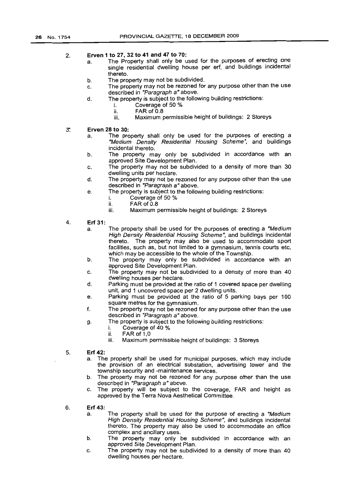#### 2. Erven 1 to 27, 32 to 41 and 47 to 70:

- a. The Property shall only be used for the purposes of erecting one single residential dwelling house per erf, and buildings incidental thereto.
- b. The property may not be subdivided.
- c. The property may not be rezoned for any purpose other than the use described in "Paragraph a" above.
- d. The property is subject to the following building restrictions:
	- i. Coverage of 50 %
		- ii. FAR of 0.8
		- Maximum permissible height of buildings: 2 Storeys
- $3<sup>°</sup>$ Erven 28 to 30:
	- a. The property shall only be used for the purposes of erecting a "Medium Density Residential Housing Scheme", and buildings incidental thereto.
	- b. The property may only be subdivided in accordance with an approved Site Development Plan.
	- c. The property may not be subdivided to a density of more than 30 dwelling units per hectare.
	- d. The property may not be rezoned for any purpose other than the use described in "Paragraph a" above.
	- e. The property is subject to the following building restrictions:
		- i. Coverage of 50 %
		- ii. FAR of 0.8
		- Maximum permissible height of buildings: 2 Storeys
- 4. Erf 31:
	- a. The property shall be used for the purposes of erecting a "Medium High Density Residential Housing Scheme", and buildings incidental thereto. The property may also be used to accommodate sport facilities, such as, but not limited to a gymnasium, tennis courts etc, which may be accessible to the whole of the Township.
	- b. The property may only be subdivided in accordance with an approved Site Development Plan.
	- c. The property may not be subdivided to a density of more than 40 dwelling houses per hectare.
	- d. Parking must be provided at the ratio of 1 covered space per dwelling unit, and 1 uncovered space per 2 dwelling units.
	- e. Parking must be provided at the ratio of 5 parking bays per 100 square metres for the gymnasium.
	- f. The property may not be rezoned for any purpose other than the use described in "Paragraph a" above.
		- The property is subject to the following building restrictions:
			- i. Coverage of 40 %<br>ii. FAR of 1,0
			- ii. FAR of 1,0<br>iii. Maximum r
			- Maximum permissible height of buildings: 3 Storeys
- 5. Erf 42:

g.

- a. The property shall be used for municipal purposes, which may include the provision of an electrical substation, advertising tower and the township security and -maintenance services.
- b. The property may not be rezoned for any purpose other than the use described in "Paragraph a" above.
- c. The property will be subject to the coverage, FAR and height as approved by the Terra Nova Aesthetical Committee.
- 6. Erf 43:
	- a. The property shall be used for the purpose of erecting a "Medium High Density Residential Housing Scheme", and buildings incidental thereto. The property may also be used to accommodate an office complex and ancillary uses.
	- b. The property may only be subdivided in accordance with an approved Site Development Plan.
	- c. The property may not be subdivided to a density of more than 40 dwelling houses per hectare.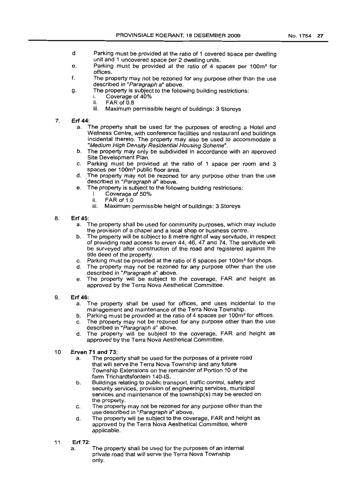- d. Parking must be provided at the ratio of 1 covered space per dwelling unit and 1 uncovered space per 2 dwelling units.
- e. Parking must be provided at the ratio of 4 spaces per 100m<sup>2</sup> for offices.
- f. The property may not be rezoned for any purpose other than the use described in "Paragraph a" above.
- g. The property is subject to the following building restrictions:
	- i. Coverage of 40%
	- ii. FAR of 0.8
	- iii. Maximum permissible height of buildings: 3 Storeys
- 7. **Erf** 44:
	- The property shall be used for the purposes of erecting a Hotel and Wellness Centre, with conference facilities and restaurant and buildinqs incidental thereto. The property may also be used to accommodate a "Medium High Density Residential Housing Scheme".
	- b. The property may only be subdivided in accordance with an approved Site Development Plan.
	- c. Parking must be provided at the ratio of 1 space per room and 3 spaces per 100m<sup>2</sup> public floor area.
	- d..The property may not be rezoned for any purpose other than the use described in "Paragraph a" above.
	- e. The property is subject to the following building restrictions:
		- i. Coverage of  $50\%$ <br>ii FAR of 1.0
			- $FAR$  of  $1.0$
		- iii. Maximum permissible height of buildings: 3 Storeys

## 8. **Erf** 45:

- a. The property shall be used for community purposes, which may include the provision of a chapel and a local shop or business centre.
- b. The property will be subject to 8 metre right of way servitude, in respect of providing road access to erven 44, 46, 47 and 74. The servitude will be surveyed after construction of the road and registered against the title deed of the property.
- c. Parking must be provided at the ratio of 6 spaces per 100m2 for shops.
- d. The property may not be rezoned for any purpose other than the use described in "Paragraph a" above.
- e. The property will be subject to the coverage, FAR and height as approved by the Terra Nova Aesthetical Committee.
- 9. **Erf** 46:
	- a. The property shall be used for offices, and uses incidental to the management and maintenance of the Terra Nova Township.
	- b. Parking must be provided at the ratio of 4 spaces per 100m<sup>2</sup> for offices.
	- c. The property may not be rezoned for any purpose other than the use described in "Paragraph a" above.
	- d. The property will be subject to the coverage, FAR and height as approved by the Terra Nova Aesthetical Committee.
- 10 **Erven 71 and** 73:
	- a. The property shall be used for the purposes of a private road that will serve the Terra Nova Township and any future Township Extensions on the remainder of Portion 10 of the farm Trichardtsfontein 140-IS.
	- b. Buildings relating to public transport, traffic control, safety and security services, provision of engineering services, municipal services and maintenance of the township(s} may be erected on the property.
	- c. The property may not be rezoned for any purpose other than the use described in "Paragraph a" above.
	- d. The property will be subject to the coverage, FAR and height as approved by the Terra Nova Aesthetical Committee, where applicable.
- 11 **Erf** 72:
	- a. The property shall be used for the purposes of an internal private road that will serve the Terra Nova Township only.